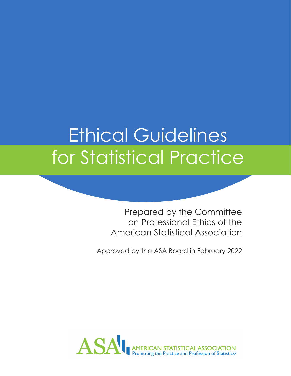## Ethical Guidelines for Statistical Practice

Prepared by the Committee on Professional Ethics of the American Statistical Association

Approved by the ASA Board in February 2022

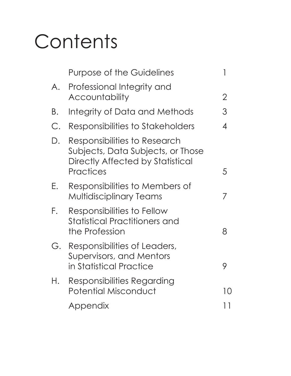# **Contents**

|       | <b>Purpose of the Guidelines</b>                                                                                   |                |
|-------|--------------------------------------------------------------------------------------------------------------------|----------------|
| A.    | Professional Integrity and<br><b>Accountability</b>                                                                | $\overline{2}$ |
| Β.    | Integrity of Data and Methods                                                                                      | 3              |
| $C$ . | Responsibilities to Stakeholders                                                                                   | 4              |
| D.    | Responsibilities to Research<br>Subjects, Data Subjects, or Those<br>Directly Affected by Statistical<br>Practices | 5              |
| Ε.    | Responsibilities to Members of<br><b>Multidisciplinary Teams</b>                                                   | 7              |
| F.    | Responsibilities to Fellow<br><b>Statistical Practitioners and</b><br>the Profession                               | 8              |
| G.    | Responsibilities of Leaders,<br>Supervisors, and Mentors<br>in Statistical Practice                                | 9              |
| Н.    | Responsibilities Regarding<br><b>Potential Misconduct</b>                                                          | 10             |
|       | Appendix                                                                                                           | 11             |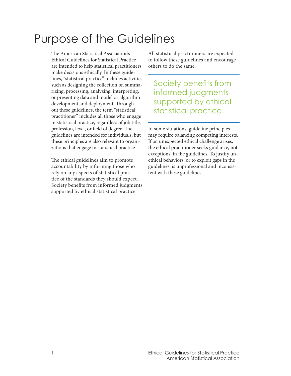#### Purpose of the Guidelines

The American Statistical Association's Ethical Guidelines for Statistical Practice are intended to help statistical practitioners make decisions ethically. In these guidelines, "statistical practice" includes activities such as designing the collection of, summarizing, processing, analyzing, interpreting, or presenting data and model or algorithm development and deployment. Throughout these guidelines, the term "statistical practitioner" includes all those who engage in statistical practice, regardless of job title, profession, level, or field of degree. The guidelines are intended for individuals, but these principles are also relevant to organizations that engage in statistical practice.

The ethical guidelines aim to promote accountability by informing those who rely on any aspects of statistical practice of the standards they should expect. Society benefits from informed judgments supported by ethical statistical practice.

All statistical practitioners are expected to follow these guidelines and encourage others to do the same.

Society benefits from informed judgments supported by ethical statistical practice.

In some situations, guideline principles may require balancing competing interests. If an unexpected ethical challenge arises, the ethical practitioner seeks guidance, not exceptions, in the guidelines. To justify unethical behaviors, or to exploit gaps in the guidelines, is unprofessional and inconsistent with these guidelines.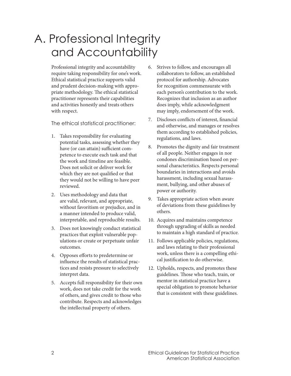#### A. Professional Integrity and Accountability

Professional integrity and accountability require taking responsibility for one's work. Ethical statistical practice supports valid and prudent decision-making with appropriate methodology. The ethical statistical practitioner represents their capabilities and activities honestly and treats others with respect.

- 1. Takes responsibility for evaluating potential tasks, assessing whether they have (or can attain) sufficient competence to execute each task and that the work and timeline are feasible. Does not solicit or deliver work for which they are not qualified or that they would not be willing to have peer reviewed.
- 2. Uses methodology and data that are valid, relevant, and appropriate, without favoritism or prejudice, and in a manner intended to produce valid, interpretable, and reproducible results.
- 3. Does not knowingly conduct statistical practices that exploit vulnerable populations or create or perpetuate unfair outcomes.
- 4. Opposes efforts to predetermine or influence the results of statistical practices and resists pressure to selectively interpret data.
- 5. Accepts full responsibility for their own work, does not take credit for the work of others, and gives credit to those who contribute. Respects and acknowledges the intellectual property of others.
- 6. Strives to follow, and encourages all collaborators to follow, an established protocol for authorship. Advocates for recognition commensurate with each person's contribution to the work. Recognizes that inclusion as an author does imply, while acknowledgment may imply, endorsement of the work.
- 7. Discloses conflicts of interest, financial and otherwise, and manages or resolves them according to established policies, regulations, and laws.
- 8. Promotes the dignity and fair treatment of all people. Neither engages in nor condones discrimination based on personal characteristics. Respects personal boundaries in interactions and avoids harassment, including sexual harassment, bullying, and other abuses of power or authority.
- 9. Takes appropriate action when aware of deviations from these guidelines by others.
- 10. Acquires and maintains competence through upgrading of skills as needed to maintain a high standard of practice.
- 11. Follows applicable policies, regulations, and laws relating to their professional work, unless there is a compelling ethical justification to do otherwise.
- 12. Upholds, respects, and promotes these guidelines. Those who teach, train, or mentor in statistical practice have a special obligation to promote behavior that is consistent with these guidelines.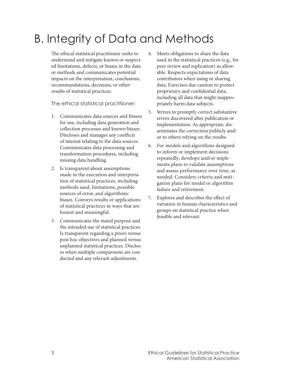### B. Integrity of Data and Methods

The ethical statistical practitioner seeks to understand and mitigate known or suspected limitations, defects, or biases in the data or methods and communicates potential impacts on the interpretation, conclusions, recommendations, decisions, or other results of statistical practices.

- 1. Communicates data sources and fitness for use, including data generation and collection processes and known biases. Discloses and manages any conflicts of interest relating to the data sources. Communicates data processing and transformation procedures, including missing data handling.
- 2. Is transparent about assumptions made in the execution and interpretation of statistical practices, including methods used, limitations, possible sources of error, and algorithmic biases. Conveys results or applications of statistical practices in ways that are honest and meaningful.
- 3. Communicates the stated purpose and the intended use of statistical practices. Is transparent regarding a priori versus post hoc objectives and planned versus unplanned statistical practices. Discloses when multiple comparisons are conducted and any relevant adjustments.
- 4. Meets obligations to share the data used in the statistical practices (e.g., for peer review and replication) as allowable. Respects expectations of data contributors when using or sharing data. Exercises due caution to protect proprietary and confidential data, including all data that might inappropriately harm data subjects.
- 5. Strives to promptly correct substantive errors discovered after publication or implementation. As appropriate, disseminates the correction publicly and/ or to others relying on the results.
- 6. For models and algorithms designed to inform or implement decisions repeatedly, develops and/or implements plans to validate assumptions and assess performance over time, as needed. Considers criteria and mitigation plans for model or algorithm failure and retirement.
- 7. Explores and describes the effect of variation in human characteristics and groups on statistical practice when feasible and relevant.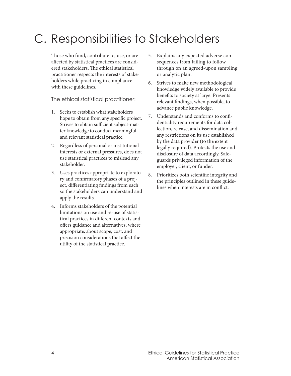#### C. Responsibilities to Stakeholders

Those who fund, contribute to, use, or are affected by statistical practices are considered stakeholders. The ethical statistical practitioner respects the interests of stakeholders while practicing in compliance with these guidelines.

- 1. Seeks to establish what stakeholders hope to obtain from any specific project. Strives to obtain sufficient subject-matter knowledge to conduct meaningful and relevant statistical practice.
- 2. Regardless of personal or institutional interests or external pressures, does not use statistical practices to mislead any stakeholder.
- 3. Uses practices appropriate to exploratory and confirmatory phases of a project, differentiating findings from each so the stakeholders can understand and apply the results.
- 4. Informs stakeholders of the potential limitations on use and re-use of statistical practices in different contexts and offers guidance and alternatives, where appropriate, about scope, cost, and precision considerations that affect the utility of the statistical practice.
- 5. Explains any expected adverse consequences from failing to follow through on an agreed-upon sampling or analytic plan.
- 6. Strives to make new methodological knowledge widely available to provide benefits to society at large. Presents relevant findings, when possible, to advance public knowledge.
- 7. Understands and conforms to confidentiality requirements for data collection, release, and dissemination and any restrictions on its use established by the data provider (to the extent legally required). Protects the use and disclosure of data accordingly. Safeguards privileged information of the employer, client, or funder.
- 8. Prioritizes both scientific integrity and the principles outlined in these guidelines when interests are in conflict.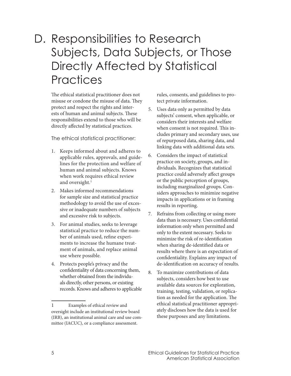#### D. Responsibilities to Research Subjects, Data Subjects, or Those Directly Affected by Statistical **Practices**

The ethical statistical practitioner does not misuse or condone the misuse of data. They protect and respect the rights and interests of human and animal subjects. These responsibilities extend to those who will be directly affected by statistical practices.

The ethical statistical practitioner:

- 1. Keeps informed about and adheres to applicable rules, approvals, and guidelines for the protection and welfare of human and animal subjects. Knows when work requires ethical review and oversight.<sup>1</sup>
- 2. Makes informed recommendations for sample size and statistical practice methodology to avoid the use of excessive or inadequate numbers of subjects and excessive risk to subjects.
- 3. For animal studies, seeks to leverage statistical practice to reduce the number of animals used, refine experiments to increase the humane treatment of animals, and replace animal use where possible.
- 4. Protects people's privacy and the confidentiality of data concerning them, whether obtained from the individuals directly, other persons, or existing records. Knows and adheres to applicable

rules, consents, and guidelines to protect private information.

- 5. Uses data only as permitted by data subjects' consent, when applicable, or considers their interests and welfare when consent is not required. This includes primary and secondary uses, use of repurposed data, sharing data, and linking data with additional data sets.
- 6. Considers the impact of statistical practice on society, groups, and individuals. Recognizes that statistical practice could adversely affect groups or the public perception of groups, including marginalized groups. Considers approaches to minimize negative impacts in applications or in framing results in reporting.
- 7. Refrains from collecting or using more data than is necessary. Uses confidential information only when permitted and only to the extent necessary. Seeks to minimize the risk of re-identification when sharing de-identified data or results where there is an expectation of confidentiality. Explains any impact of de-identification on accuracy of results.
- 8. To maximize contributions of data subjects, considers how best to use available data sources for exploration, training, testing, validation, or replication as needed for the application. The ethical statistical practitioner appropriately discloses how the data is used for these purposes and any limitations.

<sup>1</sup> Examples of ethical review and oversight include an institutional review board (IRB), an institutional animal care and use committee (IACUC), or a compliance assessment.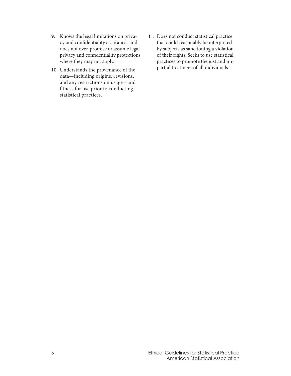- 9. Knows the legal limitations on privacy and confidentiality assurances and does not over-promise or assume legal privacy and confidentiality protections where they may not apply.
- 10. Understands the provenance of the data—including origins, revisions, and any restrictions on usage—and fitness for use prior to conducting statistical practices.
- 11. Does not conduct statistical practice that could reasonably be interpreted by subjects as sanctioning a violation of their rights. Seeks to use statistical practices to promote the just and impartial treatment of all individuals.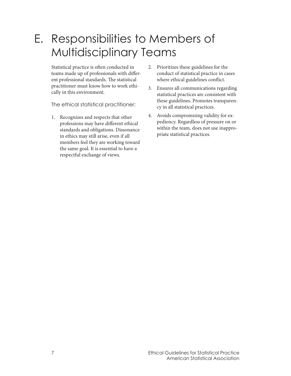#### E. Responsibilities to Members of Multidisciplinary Teams

Statistical practice is often conducted in teams made up of professionals with different professional standards. The statistical practitioner must know how to work ethically in this environment.

- 1. Recognizes and respects that other professions may have different ethical standards and obligations. Dissonance in ethics may still arise, even if all members feel they are working toward the same goal. It is essential to have a respectful exchange of views.
- 2. Prioritizes these guidelines for the conduct of statistical practice in cases where ethical guidelines conflict.
- 3. Ensures all communications regarding statistical practices are consistent with these guidelines. Promotes transparency in all statistical practices.
- 4. Avoids compromising validity for expediency. Regardless of pressure on or within the team, does not use inappropriate statistical practices.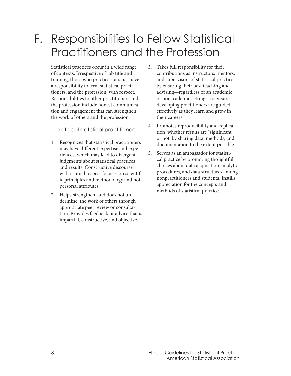#### F. Responsibilities to Fellow Statistical Practitioners and the Profession

Statistical practices occur in a wide range of contexts. Irrespective of job title and training, those who practice statistics have a responsibility to treat statistical practitioners, and the profession, with respect. Responsibilities to other practitioners and the profession include honest communication and engagement that can strengthen the work of others and the profession.

- 1. Recognizes that statistical practitioners may have different expertise and experiences, which may lead to divergent judgments about statistical practices and results. Constructive discourse with mutual respect focuses on scientific principles and methodology and not personal attributes.
- 2. Helps strengthen, and does not undermine, the work of others through appropriate peer review or consultation. Provides feedback or advice that is impartial, constructive, and objective.
- 3. Takes full responsibility for their contributions as instructors, mentors, and supervisors of statistical practice by ensuring their best teaching and advising—regardless of an academic or nonacademic setting—to ensure developing practitioners are guided effectively as they learn and grow in their careers.
- 4. Promotes reproducibility and replication, whether results are "significant" or not, by sharing data, methods, and documentation to the extent possible.
- 5. Serves as an ambassador for statistical practice by promoting thoughtful choices about data acquisition, analytic procedures, and data structures among nonpractitioners and students. Instills appreciation for the concepts and methods of statistical practice.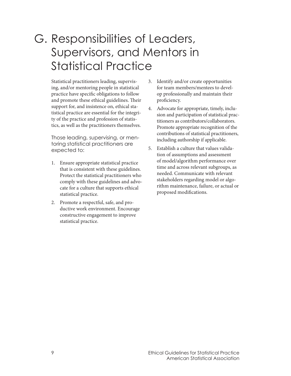#### G. Responsibilities of Leaders, Supervisors, and Mentors in Statistical Practice

Statistical practitioners leading, supervising, and/or mentoring people in statistical practice have specific obligations to follow and promote these ethical guidelines. Their support for, and insistence on, ethical statistical practice are essential for the integrity of the practice and profession of statistics, as well as the practitioners themselves.

Those leading, supervising, or mentoring statistical practitioners are expected to:

- 1. Ensure appropriate statistical practice that is consistent with these guidelines. Protect the statistical practitioners who comply with these guidelines and advocate for a culture that supports ethical statistical practice.
- 2. Promote a respectful, safe, and productive work environment. Encourage constructive engagement to improve statistical practice.
- 3. Identify and/or create opportunities for team members/mentees to develop professionally and maintain their proficiency.
- 4. Advocate for appropriate, timely, inclusion and participation of statistical practitioners as contributors/collaborators. Promote appropriate recognition of the contributions of statistical practitioners, including authorship if applicable.
- 5. Establish a culture that values validation of assumptions and assessment of model/algorithm performance over time and across relevant subgroups, as needed. Communicate with relevant stakeholders regarding model or algorithm maintenance, failure, or actual or proposed modifications.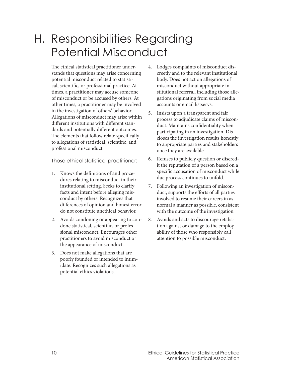#### H. Responsibilities Regarding Potential Misconduct

The ethical statistical practitioner understands that questions may arise concerning potential misconduct related to statistical, scientific, or professional practice. At times, a practitioner may accuse someone of misconduct or be accused by others. At other times, a practitioner may be involved in the investigation of others' behavior. Allegations of misconduct may arise within different institutions with different standards and potentially different outcomes. The elements that follow relate specifically to allegations of statistical, scientific, and professional misconduct.

- 1. Knows the definitions of and procedures relating to misconduct in their institutional setting. Seeks to clarify facts and intent before alleging misconduct by others. Recognizes that differences of opinion and honest error do not constitute unethical behavior.
- 2. Avoids condoning or appearing to condone statistical, scientific, or professional misconduct. Encourages other practitioners to avoid misconduct or the appearance of misconduct.
- 3. Does not make allegations that are poorly founded or intended to intimidate. Recognizes such allegations as potential ethics violations.
- 4. Lodges complaints of misconduct discreetly and to the relevant institutional body. Does not act on allegations of misconduct without appropriate institutional referral, including those allegations originating from social media accounts or email listservs.
- 5. Insists upon a transparent and fair process to adjudicate claims of misconduct. Maintains confidentiality when participating in an investigation. Discloses the investigation results honestly to appropriate parties and stakeholders once they are available.
- 6. Refuses to publicly question or discredit the reputation of a person based on a specific accusation of misconduct while due process continues to unfold.
- 7. Following an investigation of misconduct, supports the efforts of all parties involved to resume their careers in as normal a manner as possible, consistent with the outcome of the investigation.
- 8. Avoids and acts to discourage retaliation against or damage to the employability of those who responsibly call attention to possible misconduct.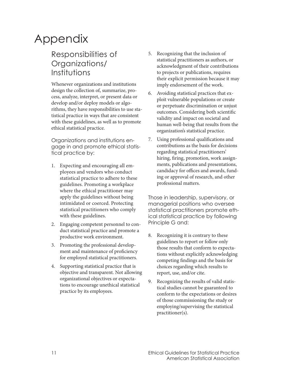#### Appendix

#### Responsibilities of Organizations/ Institutions

Whenever organizations and institutions design the collection of, summarize, process, analyze, interpret, or present data or develop and/or deploy models or algorithms, they have responsibilities to use statistical practice in ways that are consistent with these guidelines, as well as to promote ethical statistical practice.

Organizations and institutions engage in and promote ethical statistical practice by:

- 1. Expecting and encouraging all employees and vendors who conduct statistical practice to adhere to these guidelines. Promoting a workplace where the ethical practitioner may apply the guidelines without being intimidated or coerced. Protecting statistical practitioners who comply with these guidelines.
- 2. Engaging competent personnel to conduct statistical practice and promote a productive work environment.
- 3. Promoting the professional development and maintenance of proficiency for employed statistical practitioners.
- 4. Supporting statistical practice that is objective and transparent. Not allowing organizational objectives or expectations to encourage unethical statistical practice by its employees.
- 5. Recognizing that the inclusion of statistical practitioners as authors, or acknowledgment of their contributions to projects or publications, requires their explicit permission because it may imply endorsement of the work.
- 6. Avoiding statistical practices that exploit vulnerable populations or create or perpetuate discrimination or unjust outcomes. Considering both scientific validity and impact on societal and human well-being that results from the organization's statistical practice.
- 7. Using professional qualifications and contributions as the basis for decisions regarding statistical practitioners' hiring, firing, promotion, work assignments, publications and presentations, candidacy for offices and awards, funding or approval of research, and other professional matters.

Those in leadership, supervisory, or managerial positions who oversee statistical practitioners promote ethical statistical practice by following Principle G and:

- 8. Recognizing it is contrary to these guidelines to report or follow only those results that conform to expectations without explicitly acknowledging competing findings and the basis for choices regarding which results to report, use, and/or cite.
- 9. Recognizing the results of valid statistical studies cannot be guaranteed to conform to the expectations or desires of those commissioning the study or employing/supervising the statistical practitioner(s).